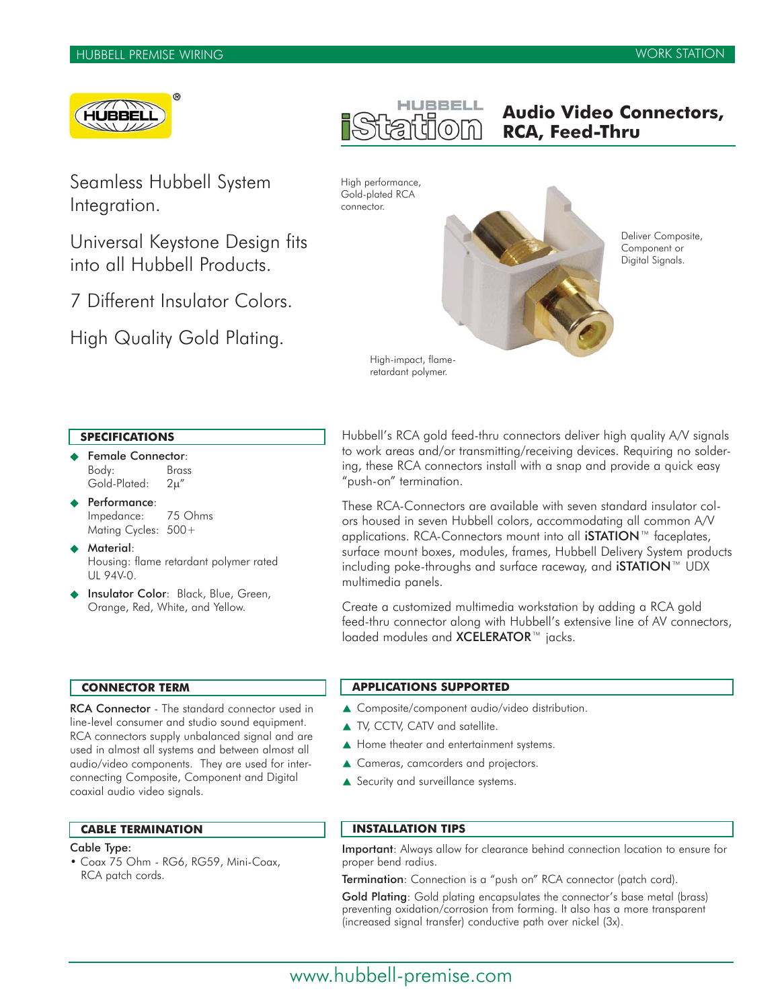

Seamless Hubbell System Integration.

Universal Keystone Design fits into all Hubbell Products.

7 Different Insulator Colors.

High Quality Gold Plating.

# **Audio Video Connectors, RCA, Feed-Thru**

High performance, Gold-plated RCA connector.



Deliver Composite, Component or Digital Signals.

High-impact, flameretardant polymer.

# **SPECIFICATIONS**

- Female Connector: Body: Brass Gold-Plated: 2μ"
- Performance: Impedance: 75 Ohms Mating Cycles: 500+
- Material: Housing: flame retardant polymer rated UL 94V-0.
- Insulator Color: Black, Blue, Green, Orange, Red, White, and Yellow.

Hubbell's RCA gold feed-thru connectors deliver high quality A/V signals to work areas and/or transmitting/receiving devices. Requiring no soldering, these RCA connectors install with a snap and provide a quick easy "push-on" termination.

These RCA-Connectors are available with seven standard insulator colors housed in seven Hubbell colors, accommodating all common A/V applications. RCA-Connectors mount into all **iSTATION**™ faceplates, surface mount boxes, modules, frames, Hubbell Delivery System products including poke-throughs and surface raceway, and iSTATION™ UDX multimedia panels.

Create a customized multimedia workstation by adding a RCA gold feed-thru connector along with Hubbell's extensive line of AV connectors, loaded modules and XCELERATOR™ jacks.

# **CONNECTOR TERM**

RCA Connector - The standard connector used in line-level consumer and studio sound equipment. RCA connectors supply unbalanced signal and are used in almost all systems and between almost all audio/video components. They are used for interconnecting Composite, Component and Digital coaxial audio video signals.

### **CABLE TERMINATION**

# Cable Type:

• Coax 75 Ohm - RG6, RG59, Mini-Coax, RCA patch cords.

# **APPLICATIONS SUPPORTED**

- ▲ Composite/component audio/video distribution.
- ▲ TV, CCTV, CATV and satellite.
- ▲ Home theater and entertainment systems.
- ▲ Cameras, camcorders and projectors.
- Security and surveillance systems.

# **INSTALLATION TIPS**

Important: Always allow for clearance behind connection location to ensure for proper bend radius.

Termination: Connection is a "push on" RCA connector (patch cord).

Gold Plating: Gold plating encapsulates the connector's base metal (brass) preventing oxidation/corrosion from forming. It also has a more transparent (increased signal transfer) conductive path over nickel (3x).